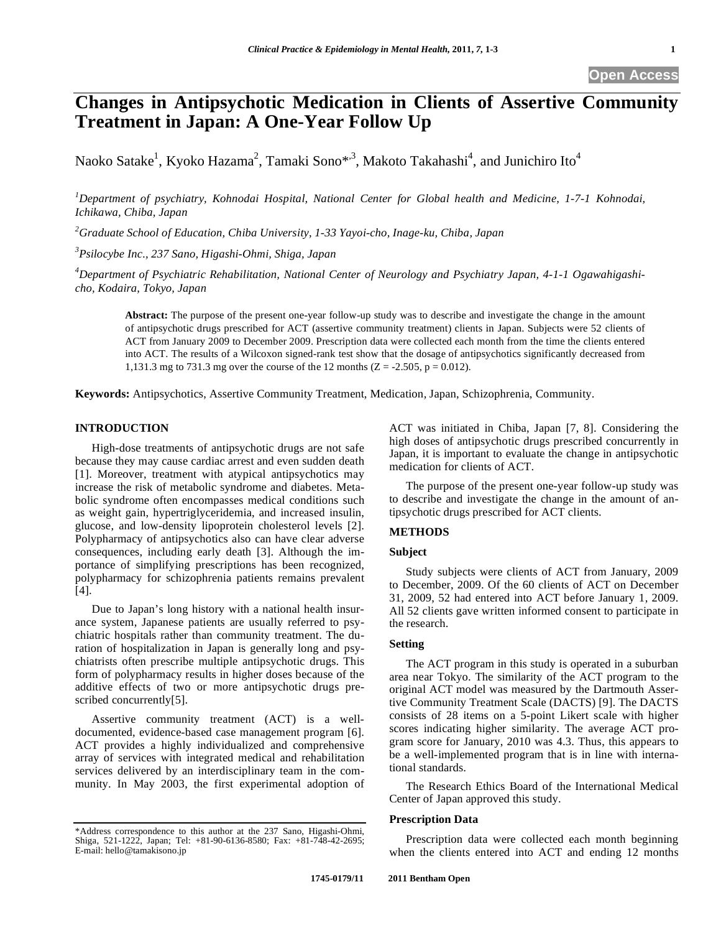**Open Access** 

# **Changes in Antipsychotic Medication in Clients of Assertive Community Treatment in Japan: A One-Year Follow Up**

Naoko Satake<sup>1</sup>, Kyoko Hazama<sup>2</sup>, Tamaki Sono\*<sup>,3</sup>, Makoto Takahashi<sup>4</sup>, and Junichiro Ito<sup>4</sup>

*1 Department of psychiatry, Kohnodai Hospital, National Center for Global health and Medicine, 1-7-1 Kohnodai, Ichikawa, Chiba, Japan* 

*2 Graduate School of Education, Chiba University, 1-33 Yayoi-cho, Inage-ku, Chiba, Japan* 

*3 Psilocybe Inc., 237 Sano, Higashi-Ohmi, Shiga, Japan* 

*4 Department of Psychiatric Rehabilitation, National Center of Neurology and Psychiatry Japan, 4-1-1 Ogawahigashicho, Kodaira, Tokyo, Japan* 

**Abstract:** The purpose of the present one-year follow-up study was to describe and investigate the change in the amount of antipsychotic drugs prescribed for ACT (assertive community treatment) clients in Japan. Subjects were 52 clients of ACT from January 2009 to December 2009. Prescription data were collected each month from the time the clients entered into ACT. The results of a Wilcoxon signed-rank test show that the dosage of antipsychotics significantly decreased from 1,131.3 mg to 731.3 mg over the course of the 12 months  $(Z = -2.505, p = 0.012)$ .

**Keywords:** Antipsychotics, Assertive Community Treatment, Medication, Japan, Schizophrenia, Community.

# **INTRODUCTION**

High-dose treatments of antipsychotic drugs are not safe because they may cause cardiac arrest and even sudden death [1]. Moreover, treatment with atypical antipsychotics may increase the risk of metabolic syndrome and diabetes. Metabolic syndrome often encompasses medical conditions such as weight gain, hypertriglyceridemia, and increased insulin, glucose, and low-density lipoprotein cholesterol levels [2]. Polypharmacy of antipsychotics also can have clear adverse consequences, including early death [3]. Although the importance of simplifying prescriptions has been recognized, polypharmacy for schizophrenia patients remains prevalent [4].

Due to Japan's long history with a national health insurance system, Japanese patients are usually referred to psychiatric hospitals rather than community treatment. The duration of hospitalization in Japan is generally long and psychiatrists often prescribe multiple antipsychotic drugs. This form of polypharmacy results in higher doses because of the additive effects of two or more antipsychotic drugs prescribed concurrently[5].

Assertive community treatment (ACT) is a welldocumented, evidence-based case management program [6]. ACT provides a highly individualized and comprehensive array of services with integrated medical and rehabilitation services delivered by an interdisciplinary team in the community. In May 2003, the first experimental adoption of ACT was initiated in Chiba, Japan [7, 8]. Considering the high doses of antipsychotic drugs prescribed concurrently in Japan, it is important to evaluate the change in antipsychotic medication for clients of ACT.

The purpose of the present one-year follow-up study was to describe and investigate the change in the amount of antipsychotic drugs prescribed for ACT clients.

# **METHODS**

## **Subject**

Study subjects were clients of ACT from January, 2009 to December, 2009. Of the 60 clients of ACT on December 31, 2009, 52 had entered into ACT before January 1, 2009. All 52 clients gave written informed consent to participate in the research.

# **Setting**

The ACT program in this study is operated in a suburban area near Tokyo. The similarity of the ACT program to the original ACT model was measured by the Dartmouth Assertive Community Treatment Scale (DACTS) [9]. The DACTS consists of 28 items on a 5-point Likert scale with higher scores indicating higher similarity. The average ACT program score for January, 2010 was 4.3. Thus, this appears to be a well-implemented program that is in line with international standards.

The Research Ethics Board of the International Medical Center of Japan approved this study.

## **Prescription Data**

Prescription data were collected each month beginning when the clients entered into ACT and ending 12 months

<sup>\*</sup>Address correspondence to this author at the 237 Sano, Higashi-Ohmi, Shiga, 521-1222, Japan; Tel: +81-90-6136-8580; Fax: +81-748-42-2695; E-mail: hello@tamakisono.jp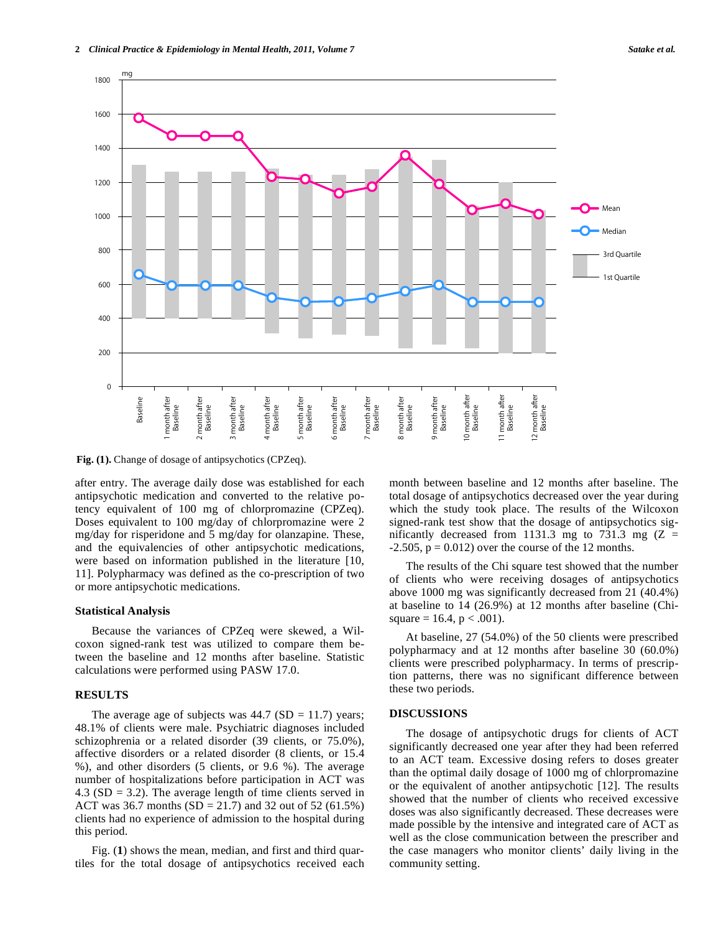

**Fig. (1).** Change of dosage of antipsychotics (CPZeq).

after entry. The average daily dose was established for each antipsychotic medication and converted to the relative potency equivalent of 100 mg of chlorpromazine (CPZeq). Doses equivalent to 100 mg/day of chlorpromazine were 2 mg/day for risperidone and 5 mg/day for olanzapine. These, and the equivalencies of other antipsychotic medications, were based on information published in the literature [10, 11]. Polypharmacy was defined as the co-prescription of two or more antipsychotic medications.

#### **Statistical Analysis**

Because the variances of CPZeq were skewed, a Wilcoxon signed-rank test was utilized to compare them between the baseline and 12 months after baseline. Statistic calculations were performed using PASW 17.0.

## **RESULTS**

The average age of subjects was  $44.7$  (SD = 11.7) years; 48.1% of clients were male. Psychiatric diagnoses included schizophrenia or a related disorder (39 clients, or 75.0%), affective disorders or a related disorder (8 clients, or 15.4 %), and other disorders (5 clients, or 9.6 %). The average number of hospitalizations before participation in ACT was 4.3 ( $SD = 3.2$ ). The average length of time clients served in ACT was 36.7 months (SD = 21.7) and 32 out of 52 (61.5%) clients had no experience of admission to the hospital during this period.

Fig. (**1**) shows the mean, median, and first and third quartiles for the total dosage of antipsychotics received each month between baseline and 12 months after baseline. The total dosage of antipsychotics decreased over the year during which the study took place. The results of the Wilcoxon signed-rank test show that the dosage of antipsychotics significantly decreased from 1131.3 mg to 731.3 mg  $(Z =$  $-2.505$ ,  $p = 0.012$ ) over the course of the 12 months.

The results of the Chi square test showed that the number of clients who were receiving dosages of antipsychotics above 1000 mg was significantly decreased from 21 (40.4%) at baseline to 14 (26.9%) at 12 months after baseline (Chisquare = 16.4,  $p < .001$ ).

At baseline, 27 (54.0%) of the 50 clients were prescribed polypharmacy and at 12 months after baseline 30 (60.0%) clients were prescribed polypharmacy. In terms of prescription patterns, there was no significant difference between these two periods.

# **DISCUSSIONS**

The dosage of antipsychotic drugs for clients of ACT significantly decreased one year after they had been referred to an ACT team. Excessive dosing refers to doses greater than the optimal daily dosage of 1000 mg of chlorpromazine or the equivalent of another antipsychotic [12]. The results showed that the number of clients who received excessive doses was also significantly decreased. These decreases were made possible by the intensive and integrated care of ACT as well as the close communication between the prescriber and the case managers who monitor clients' daily living in the community setting.